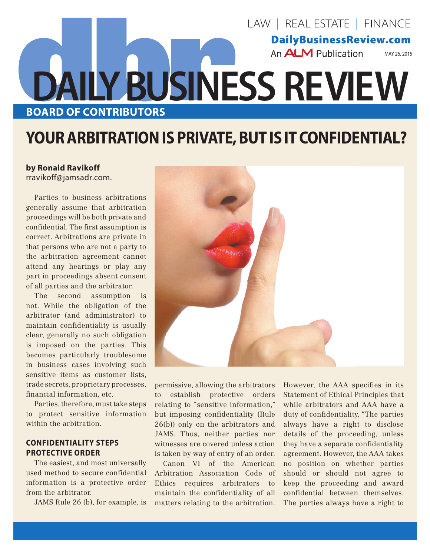# LAW | REAL ESTATE | FINANCE **DailyBusinessReview.com** An **ALM** Publication MAY 26, 2015 **DAILY BUSINESS REVIEW BOARD OF CONTRIBUTORS**

# **YOUR ARBITRATION IS PRIVATE, BUT IS IT CONFIDENTIAL?**

## **by Ronald Ravikoff**

rravikoff@jamsadr.com.

Parties to business arbitrations generally assume that arbitration proceedings will be both private and confidential. The first assumption is correct. Arbitrations are private in that persons who are not a party to the arbitration agreement cannot attend any hearings or play any part in proceedings absent consent of all parties and the arbitrator.

The second assumption is not. While the obligation of the arbitrator (and administrator) to maintain confidentiality is usually clear, generally no such obligation is imposed on the parties. This becomes particularly troublesome in business cases involving such sensitive items as customer lists, trade secrets, proprietary processes, financial information, etc.

Parties, therefore, must take steps to protect sensitive information within the arbitration

### **CONFIDENTIALITY STEPS PROTECTIVE ORDER**

The easiest, and most universally used method to secure confidential information is a protective order from the arbitrator.

JAMS Rule 26 (b), for example, is



permissive, allowing the arbitrators to establish protective orders relating to "sensitive information," but imposing confidentiality (Rule 26(b)) only on the arbitrators and JAMS. Thus, neither parties nor witnesses are covered unless action is taken by way of entry of an order.

Canon VI of the American Arbitration Association Code of Ethics requires arbitrators to maintain the confidentiality of all matters relating to the arbitration. However, the AAA specifies in its Statement of Ethical Principles that while arbitrators and AAA have a duty of confidentiality, "The parties always have a right to disclose details of the proceeding, unless they have a separate confidentiality agreement. However, the AAA takes no position on whether parties should or should not agree to keep the proceeding and award confidential between themselves. The parties always have a right to